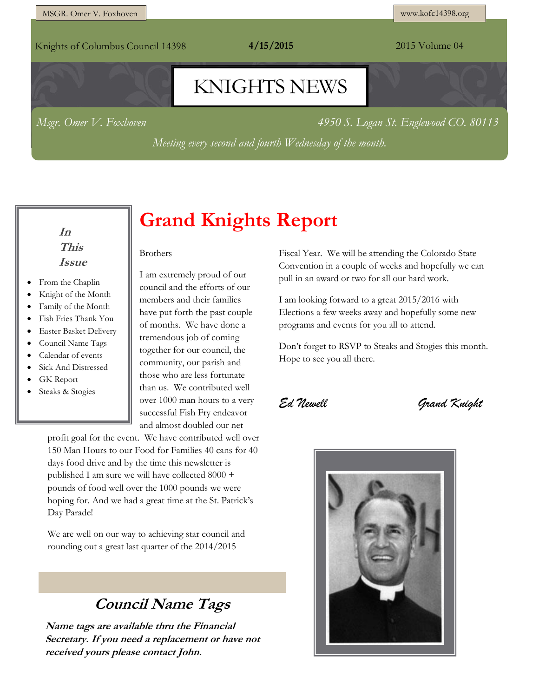Knights of Columbus Council 14398 **4/15/2015** 2015 Volume 04

# KNIGHTS NEWS

*Msgr. Omer V. Foxhoven 4950 S. Logan St. Englewood CO. 80113*

*Meeting every second and fourth Wednesday of the month.*

#### **In This Issue**

- From the Chaplin
- Knight of the Month
- Family of the Month
- Fish Fries Thank You
- Easter Basket Delivery
- Council Name Tags
- Calendar of events
- Sick And Distressed
- GK Report
- Steaks & Stogies

# **Grand Knights Report**

Brothers

I am extremely proud of our council and the efforts of our members and their families have put forth the past couple of months. We have done a tremendous job of coming together for our council, the community, our parish and those who are less fortunate than us. We contributed well over 1000 man hours to a very successful Fish Fry endeavor and almost doubled our net

profit goal for the event. We have contributed well over 150 Man Hours to our Food for Families 40 cans for 40 days food drive and by the time this newsletter is published I am sure we will have collected 8000 + pounds of food well over the 1000 pounds we were hoping for. And we had a great time at the St. Patrick's Day Parade!

We are well on our way to achieving star council and rounding out a great last quarter of the 2014/2015

### **Council Name Tags**

**Name tags are available thru the Financial Secretary. If you need a replacement or have not received yours please contact John.**

Fiscal Year. We will be attending the Colorado State Convention in a couple of weeks and hopefully we can pull in an award or two for all our hard work.

I am looking forward to a great 2015/2016 with Elections a few weeks away and hopefully some new programs and events for you all to attend.

Don't forget to RSVP to Steaks and Stogies this month. Hope to see you all there.

*Ed Newell Grand Knight*

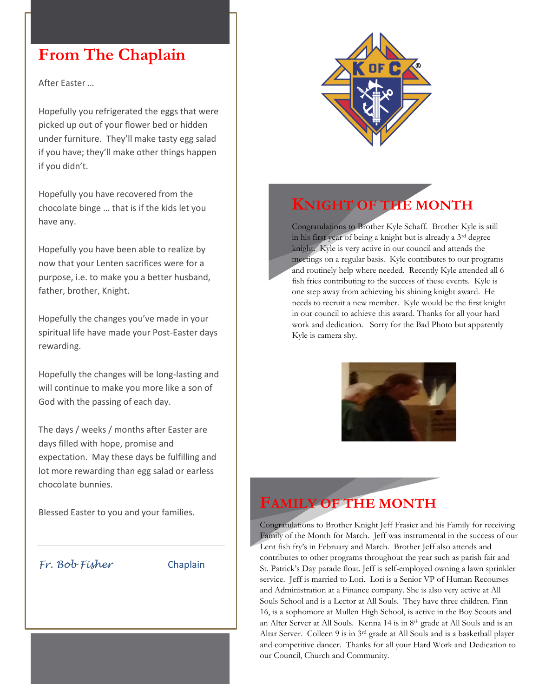### **From The Chaplain**

After Easter …

Hopefully you refrigerated the eggs that were picked up out of your flower bed or hidden under furniture. They'll make tasty egg salad if you have; they'll make other things happen if you didn't.

Hopefully you have recovered from the chocolate binge … that is if the kids let you have any.

Hopefully you have been able to realize by now that your Lenten sacrifices were for a purpose, i.e. to make you a better husband, father, brother, Knight.

Hopefully the changes you've made in your spiritual life have made your Post-Easter days rewarding.

Hopefully the changes will be long-lasting and will continue to make you more like a son of God with the passing of each day.

The days / weeks / months after Easter are days filled with hope, promise and expectation. May these days be fulfilling and lot more rewarding than egg salad or earless chocolate bunnies.

Blessed Easter to you and your families.

#### *Fr. Bob Fisher* Chaplain



## **KNIGHT OF THE MONTH**

Congratulations to Brother Kyle Schaff. Brother Kyle is still in his first year of being a knight but is already a 3rd degree knight. Kyle is very active in our council and attends the meetings on a regular basis. Kyle contributes to our programs and routinely help where needed. Recently Kyle attended all 6 fish fries contributing to the success of these events. Kyle is one step away from achieving his shining knight award. He needs to recruit a new member. Kyle would be the first knight in our council to achieve this award. Thanks for all your hard work and dedication. Sorry for the Bad Photo but apparently Kyle is camera shy.



### **FAMILY OF THE MONTH**

Congratulations to Brother Knight Jeff Frasier and his Family for receiving Family of the Month for March. Jeff was instrumental in the success of our Lent fish fry's in February and March. Brother Jeff also attends and contributes to other programs throughout the year such as parish fair and St. Patrick's Day parade float. Jeff is self-employed owning a lawn sprinkler service. Jeff is married to Lori. Lori is a Senior VP of Human Recourses and Administration at a Finance company. She is also very active at All Souls School and is a Lector at All Souls. They have three children. Finn 16, is a sophomore at Mullen High School, is active in the Boy Scouts and an Alter Server at All Souls. Kenna 14 is in 8<sup>th</sup> grade at All Souls and is an Altar Server. Colleen 9 is in 3rd grade at All Souls and is a basketball player and competitive dancer. Thanks for all your Hard Work and Dedication to our Council, Church and Community.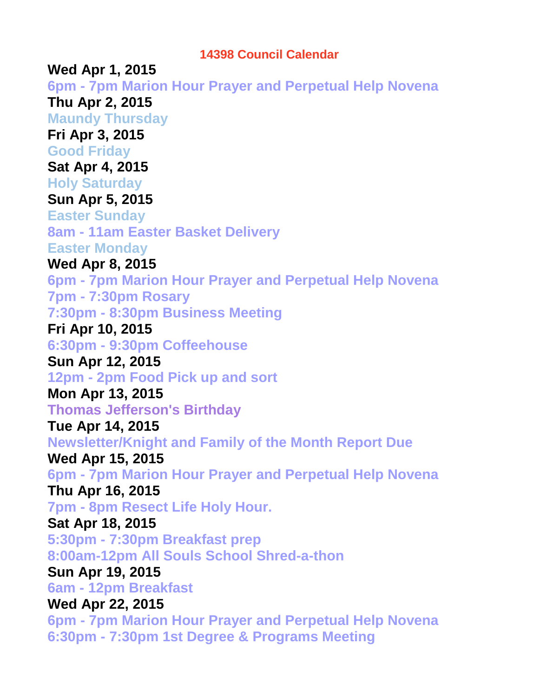#### **14398 Council Calendar**

**Wed Apr 1, 2015 6pm - 7pm Marion Hour Prayer and Perpetual Help Novena Thu Apr 2, 2015 Maundy Thursday Fri Apr 3, 2015 Good Friday Sat Apr 4, 2015 Holy Saturday Sun Apr 5, 2015 Easter Sunday 8am - 11am Easter Basket Delivery Easter Monday Wed Apr 8, 2015 6pm - 7pm Marion Hour Prayer and Perpetual Help Novena 7pm - 7:30pm Rosary 7:30pm - 8:30pm Business Meeting Fri Apr 10, 2015 6:30pm - 9:30pm Coffeehouse Sun Apr 12, 2015 12pm - 2pm Food Pick up and sort Mon Apr 13, 2015 Thomas Jefferson's Birthday Tue Apr 14, 2015 Newsletter/Knight and Family of the Month Report Due Wed Apr 15, 2015 6pm - 7pm Marion Hour Prayer and Perpetual Help Novena Thu Apr 16, 2015 7pm - 8pm Resect Life Holy Hour. Sat Apr 18, 2015 5:30pm - 7:30pm Breakfast prep 8:00am-12pm All Souls School Shred-a-thon Sun Apr 19, 2015 6am - 12pm Breakfast Wed Apr 22, 2015 6pm - 7pm Marion Hour Prayer and Perpetual Help Novena 6:30pm - 7:30pm 1st Degree & Programs Meeting**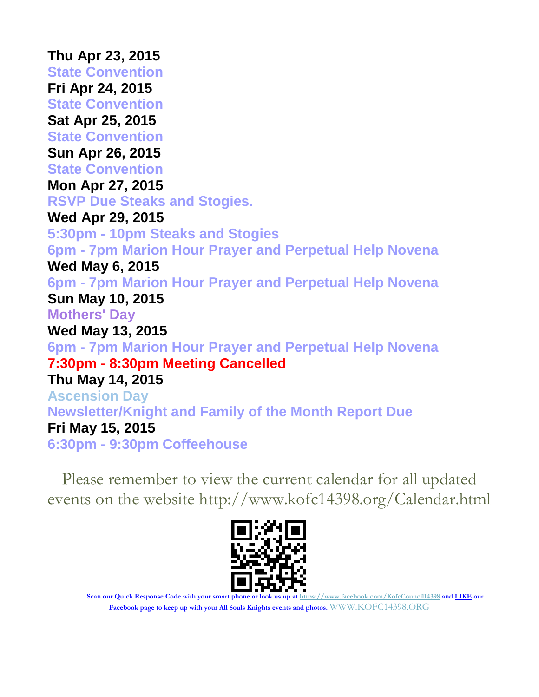**Thu Apr 23, 2015 State Convention Fri Apr 24, 2015 State Convention Sat Apr 25, 2015 State Convention Sun Apr 26, 2015 State Convention Mon Apr 27, 2015 RSVP Due Steaks and Stogies. Wed Apr 29, 2015 5:30pm - 10pm Steaks and Stogies 6pm - 7pm Marion Hour Prayer and Perpetual Help Novena Wed May 6, 2015 6pm - 7pm Marion Hour Prayer and Perpetual Help Novena Sun May 10, 2015 Mothers' Day Wed May 13, 2015 6pm - 7pm Marion Hour Prayer and Perpetual Help Novena 7:30pm - 8:30pm Meeting Cancelled Thu May 14, 2015 Ascension Day Newsletter/Knight and Family of the Month Report Due Fri May 15, 2015 6:30pm - 9:30pm Coffeehouse**

Please remember to view the current calendar for all updated events on the website<http://www.kofc14398.org/Calendar.html>



**Scan our Quick Response Code with your smart phone or look us up at <https://www.facebook.com/KofcCouncil14398> and LIKE our Facebook page to keep up with your All Souls Knights events and photos.** [WWW.KOFC14398.ORG](http://www.kofc14398.org/)